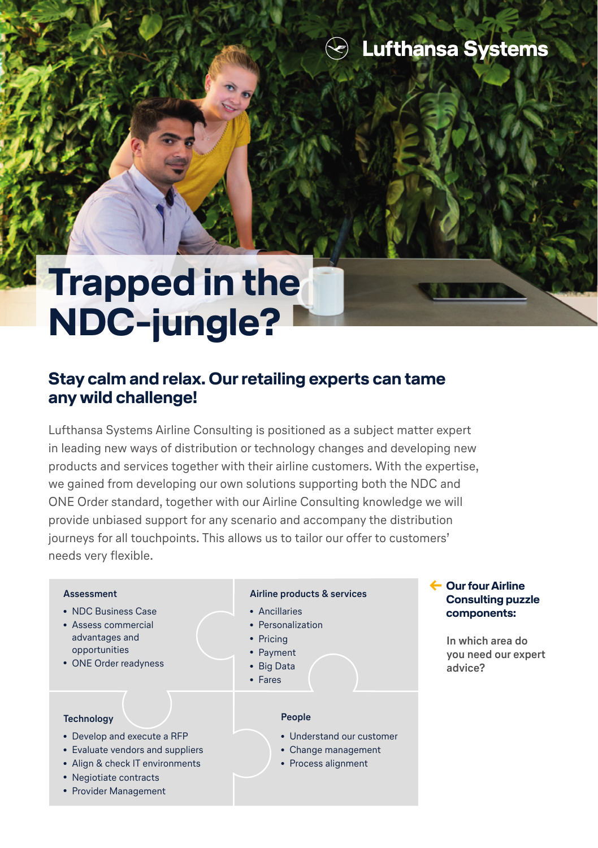# **Trapped in the NDC-jungle?**

## **Stay calm and relax. Our retailing experts can tame any wild challenge!**

Lufthansa Systems Airline Consulting is positioned as a subject matter expert in leading new ways of distribution or technology changes and developing new products and services together with their airline customers. With the expertise, we gained from developing our own solutions supporting both the NDC and ONE Order standard, together with our Airline Consulting knowledge we will provide unbiased support for any scenario and accompany the distribution journeys for all touchpoints. This allows us to tailor our offer to customers' needs very flexible.

#### **Assessment**

- NDC Business Case
- Assess commercial advantages and opportunities
- ONE Order readyness

#### **Technology**

- Develop and execute a RFP
- Evaluate vendors and suppliers
- Align & check IT environments
- Negiotiate contracts
- Provider Management

#### **Airline products & services**

- Ancillaries
- Personalization
- Pricing
- Payment
- Big Data
- Fares

#### **People**

- Understand our customer
- Change management
- Process alignment

#### **← Our four Airline Consulting puzzle components:**

 **In which area do you need our expert advice?**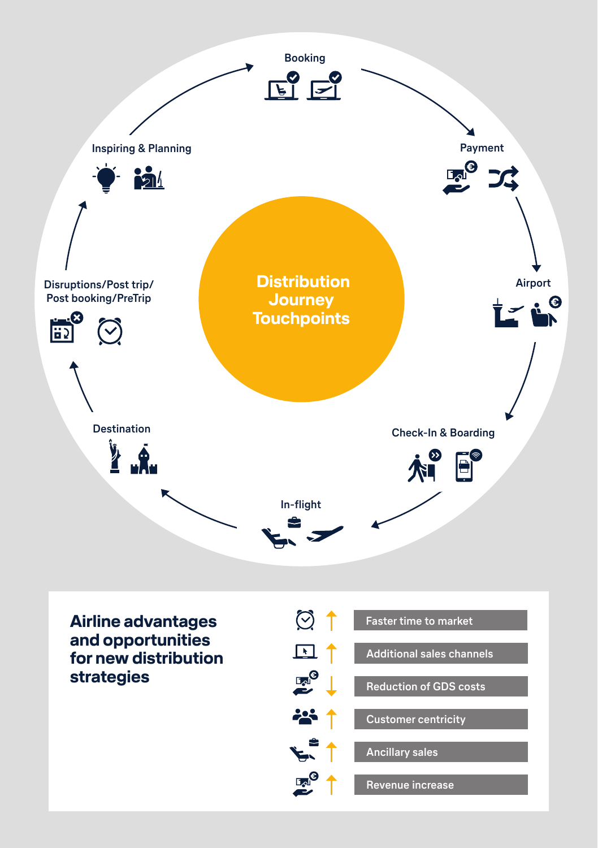

**Airline advantages and opportunities for new distribution strategies**

|      | <b>Faster time to market</b>     |
|------|----------------------------------|
|      | <b>Additional sales channels</b> |
|      | <b>Reduction of GDS costs</b>    |
|      | <b>Customer centricity</b>       |
|      | <b>Ancillary sales</b>           |
| امLا | <b>Revenue increase</b>          |
|      |                                  |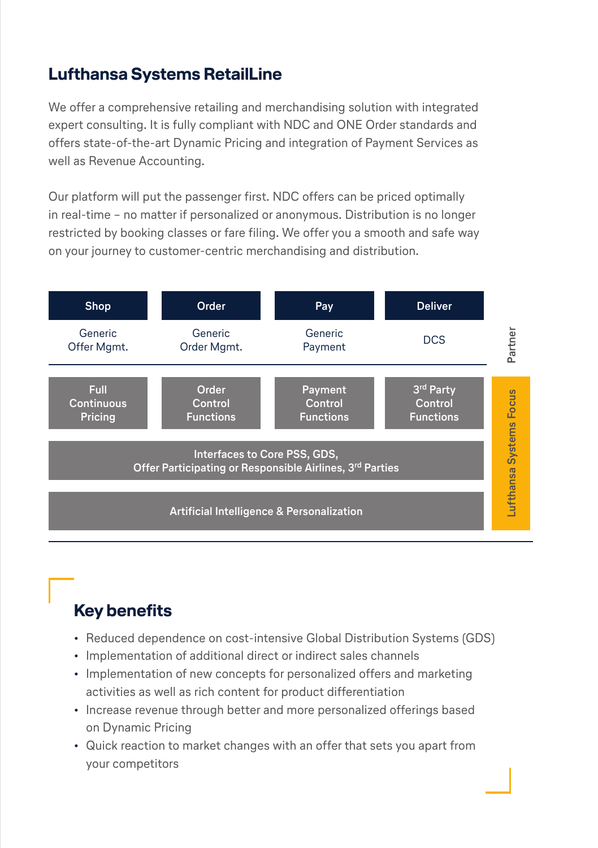## **Lufthansa Systems RetailLine**

We offer a comprehensive retailing and merchandising solution with integrated expert consulting. It is fully compliant with NDC and ONE Order standards and offers state-of-the-art Dynamic Pricing and integration of Payment Services as well as Revenue Accounting.

Our platform will put the passenger first. NDC offers can be priced optimally in real-time – no matter if personalized or anonymous. Distribution is no longer restricted by booking classes or fare filing. We offer you a smooth and safe way on your journey to customer-centric merchandising and distribution.



# **Key benefits**

- Reduced dependence on cost-intensive Global Distribution Systems (GDS)
- Implementation of additional direct or indirect sales channels
- Implementation of new concepts for personalized offers and marketing activities as well as rich content for product differentiation
- Increase revenue through better and more personalized offerings based on Dynamic Pricing
- Quick reaction to market changes with an offer that sets you apart from your competitors